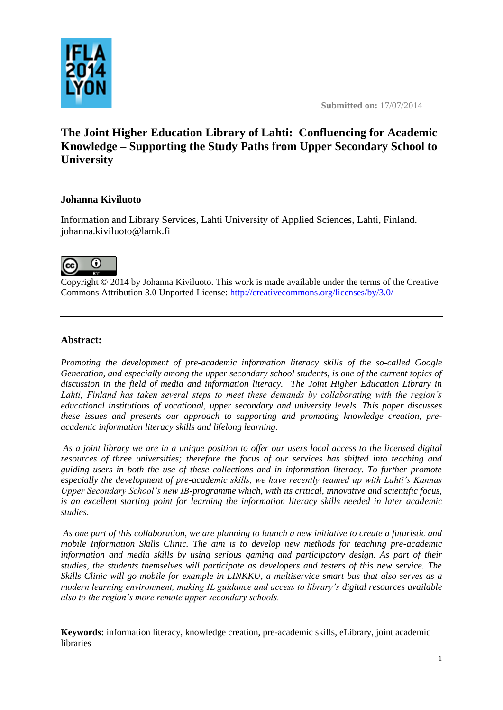

# **The Joint Higher Education Library of Lahti: Confluencing for Academic Knowledge – Supporting the Study Paths from Upper Secondary School to University**

# **Johanna Kiviluoto**

Information and Library Services, Lahti University of Applied Sciences, Lahti, Finland. johanna.kiviluoto@lamk.fi



Copyright © 2014 by Johanna Kiviluoto. This work is made available under the terms of the Creative Commons Attribution 3.0 Unported License: <http://creativecommons.org/licenses/by/3.0/>

#### **Abstract:**

*Promoting the development of pre-academic information literacy skills of the so-called Google Generation, and especially among the upper secondary school students, is one of the current topics of discussion in the field of media and information literacy. The Joint Higher Education Library in Lahti, Finland has taken several steps to meet these demands by collaborating with the region's educational institutions of vocational, upper secondary and university levels. This paper discusses these issues and presents our approach to supporting and promoting knowledge creation, preacademic information literacy skills and lifelong learning.*

*As a joint library we are in a unique position to offer our users local access to the licensed digital resources of three universities; therefore the focus of our services has shifted into teaching and guiding users in both the use of these collections and in information literacy. To further promote especially the development of pre-academic skills, we have recently teamed up with Lahti's Kannas Upper Secondary School's new IB-programme which, with its critical, innovative and scientific focus, is an excellent starting point for learning the information literacy skills needed in later academic studies.*

*As one part of this collaboration, we are planning to launch a new initiative to create a futuristic and mobile Information Skills Clinic. The aim is to develop new methods for teaching pre-academic information and media skills by using serious gaming and participatory design. As part of their studies, the students themselves will participate as developers and testers of this new service. The Skills Clinic will go mobile for example in LINKKU, a multiservice smart bus that also serves as a modern learning environment, making IL guidance and access to library's digital resources available also to the region's more remote upper secondary schools.*

**Keywords:** information literacy, knowledge creation, pre-academic skills, eLibrary, joint academic libraries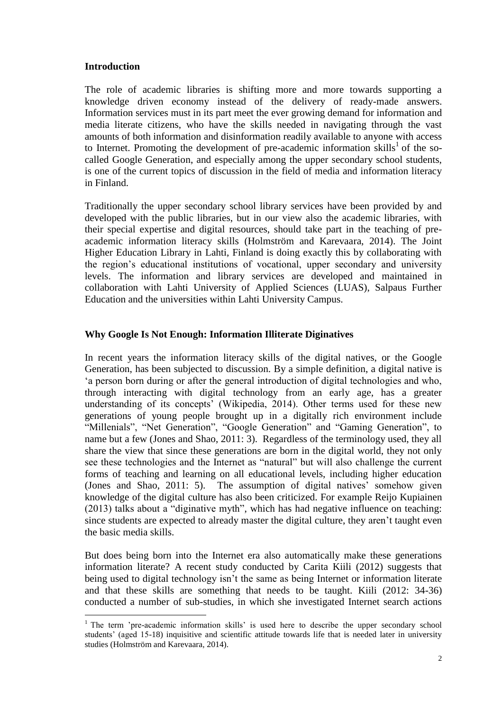#### **Introduction**

 $\overline{a}$ 

The role of academic libraries is shifting more and more towards supporting a knowledge driven economy instead of the delivery of ready-made answers. Information services must in its part meet the ever growing demand for information and media literate citizens, who have the skills needed in navigating through the vast amounts of both information and disinformation readily available to anyone with access to Internet. Promoting the development of pre-academic information skills<sup>1</sup> of the socalled Google Generation, and especially among the upper secondary school students, is one of the current topics of discussion in the field of media and information literacy in Finland.

Traditionally the upper secondary school library services have been provided by and developed with the public libraries, but in our view also the academic libraries, with their special expertise and digital resources, should take part in the teaching of preacademic information literacy skills (Holmström and Karevaara, 2014). The Joint Higher Education Library in Lahti, Finland is doing exactly this by collaborating with the region's educational institutions of vocational, upper secondary and university levels. The information and library services are developed and maintained in collaboration with Lahti University of Applied Sciences (LUAS), Salpaus Further Education and the universities within Lahti University Campus.

## **Why Google Is Not Enough: Information Illiterate Diginatives**

In recent years the information literacy skills of the digital natives, or the Google Generation, has been subjected to discussion. By a simple definition, a digital native is 'a person born during or after the general introduction of digital technologies and who, through interacting with digital technology from an early age, has a greater understanding of its concepts' (Wikipedia, 2014). Other terms used for these new generations of young people brought up in a digitally rich environment include "Millenials", "Net Generation", "Google Generation" and "Gaming Generation", to name but a few (Jones and Shao, 2011: 3). Regardless of the terminology used, they all share the view that since these generations are born in the digital world, they not only see these technologies and the Internet as "natural" but will also challenge the current forms of teaching and learning on all educational levels, including higher education (Jones and Shao, 2011: 5). The assumption of digital natives' somehow given knowledge of the digital culture has also been criticized. For example Reijo Kupiainen (2013) talks about a "diginative myth", which has had negative influence on teaching: since students are expected to already master the digital culture, they aren't taught even the basic media skills.

But does being born into the Internet era also automatically make these generations information literate? A recent study conducted by Carita Kiili (2012) suggests that being used to digital technology isn't the same as being Internet or information literate and that these skills are something that needs to be taught. Kiili (2012: 34-36) conducted a number of sub-studies, in which she investigated Internet search actions

 $1$  The term 'pre-academic information skills' is used here to describe the upper secondary school students' (aged 15-18) inquisitive and scientific attitude towards life that is needed later in university studies (Holmström and Karevaara, 2014).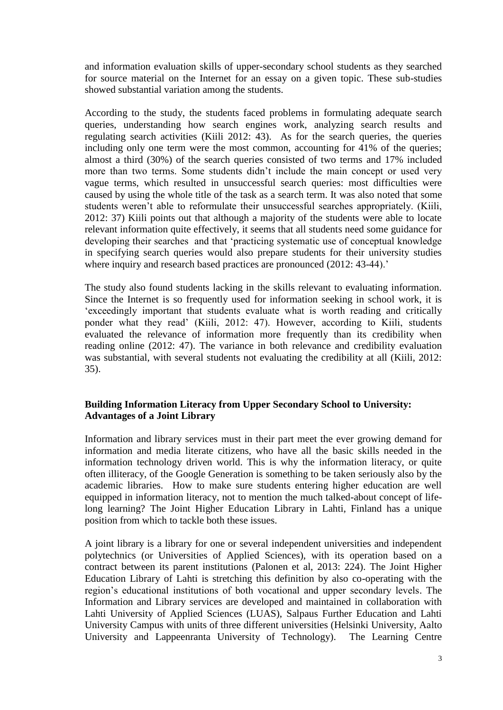and information evaluation skills of upper-secondary school students as they searched for source material on the Internet for an essay on a given topic. These sub-studies showed substantial variation among the students.

According to the study, the students faced problems in formulating adequate search queries, understanding how search engines work, analyzing search results and regulating search activities (Kiili 2012: 43). As for the search queries, the queries including only one term were the most common, accounting for 41% of the queries; almost a third (30%) of the search queries consisted of two terms and 17% included more than two terms. Some students didn't include the main concept or used very vague terms, which resulted in unsuccessful search queries: most difficulties were caused by using the whole title of the task as a search term. It was also noted that some students weren't able to reformulate their unsuccessful searches appropriately. (Kiili, 2012: 37) Kiili points out that although a majority of the students were able to locate relevant information quite effectively, it seems that all students need some guidance for developing their searches and that 'practicing systematic use of conceptual knowledge in specifying search queries would also prepare students for their university studies where inquiry and research based practices are pronounced (2012: 43-44).'

The study also found students lacking in the skills relevant to evaluating information. Since the Internet is so frequently used for information seeking in school work, it is 'exceedingly important that students evaluate what is worth reading and critically ponder what they read' (Kiili, 2012: 47). However, according to Kiili, students evaluated the relevance of information more frequently than its credibility when reading online (2012: 47). The variance in both relevance and credibility evaluation was substantial, with several students not evaluating the credibility at all (Kiili, 2012: 35).

## **Building Information Literacy from Upper Secondary School to University: Advantages of a Joint Library**

Information and library services must in their part meet the ever growing demand for information and media literate citizens, who have all the basic skills needed in the information technology driven world. This is why the information literacy, or quite often illiteracy, of the Google Generation is something to be taken seriously also by the academic libraries. How to make sure students entering higher education are well equipped in information literacy, not to mention the much talked-about concept of lifelong learning? The Joint Higher Education Library in Lahti, Finland has a unique position from which to tackle both these issues.

A joint library is a library for one or several independent universities and independent polytechnics (or Universities of Applied Sciences), with its operation based on a contract between its parent institutions (Palonen et al, 2013: 224). The Joint Higher Education Library of Lahti is stretching this definition by also co-operating with the region's educational institutions of both vocational and upper secondary levels. The Information and Library services are developed and maintained in collaboration with Lahti University of Applied Sciences (LUAS), Salpaus Further Education and Lahti University Campus with units of three different universities (Helsinki University, Aalto University and Lappeenranta University of Technology). The Learning Centre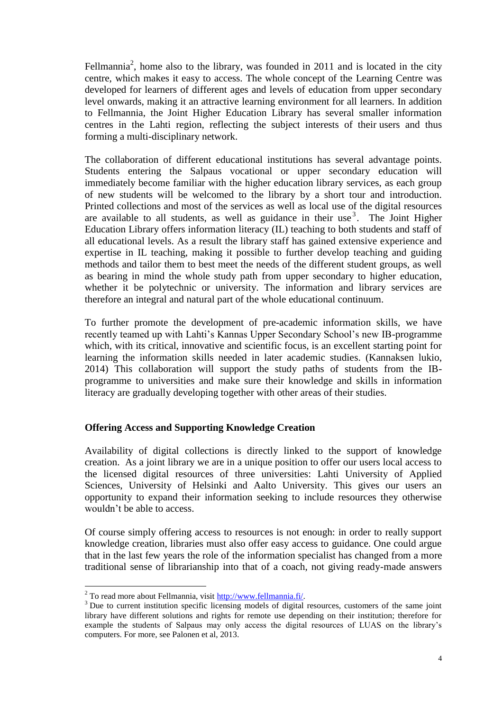Fellmannia<sup>2</sup>, home also to the library, was founded in 2011 and is located in the city centre, which makes it easy to access. The whole concept of the Learning Centre was developed for learners of different ages and levels of education from upper secondary level onwards, making it an attractive learning environment for all learners. In addition to Fellmannia, the Joint Higher Education Library has several smaller information centres in the Lahti region, reflecting the subject interests of their users and thus forming a multi-disciplinary network.

The collaboration of different educational institutions has several advantage points. Students entering the Salpaus vocational or upper secondary education will immediately become familiar with the higher education library services, as each group of new students will be welcomed to the library by a short tour and introduction. Printed collections and most of the services as well as local use of the digital resources are available to all students, as well as guidance in their use<sup>3</sup>. The Joint Higher Education Library offers information literacy (IL) teaching to both students and staff of all educational levels. As a result the library staff has gained extensive experience and expertise in IL teaching, making it possible to further develop teaching and guiding methods and tailor them to best meet the needs of the different student groups, as well as bearing in mind the whole study path from upper secondary to higher education, whether it be polytechnic or university. The information and library services are therefore an integral and natural part of the whole educational continuum.

To further promote the development of pre-academic information skills, we have recently teamed up with Lahti's Kannas Upper Secondary School's new IB-programme which, with its critical, innovative and scientific focus, is an excellent starting point for learning the information skills needed in later academic studies. (Kannaksen lukio, 2014) This collaboration will support the study paths of students from the IBprogramme to universities and make sure their knowledge and skills in information literacy are gradually developing together with other areas of their studies.

## **Offering Access and Supporting Knowledge Creation**

Availability of digital collections is directly linked to the support of knowledge creation. As a joint library we are in a unique position to offer our users local access to the licensed digital resources of three universities: Lahti University of Applied Sciences, University of Helsinki and Aalto University. This gives our users an opportunity to expand their information seeking to include resources they otherwise wouldn't be able to access.

Of course simply offering access to resources is not enough: in order to really support knowledge creation, libraries must also offer easy access to guidance. One could argue that in the last few years the role of the information specialist has changed from a more traditional sense of librarianship into that of a coach, not giving ready-made answers

 $\overline{a}$ 

<sup>2</sup> To read more about Fellmannia, visit [http://www.fellmannia.fi/.](http://www.fellmannia.fi/)

<sup>&</sup>lt;sup>3</sup> Due to current institution specific licensing models of digital resources, customers of the same joint library have different solutions and rights for remote use depending on their institution; therefore for example the students of Salpaus may only access the digital resources of LUAS on the library's computers. For more, see Palonen et al, 2013.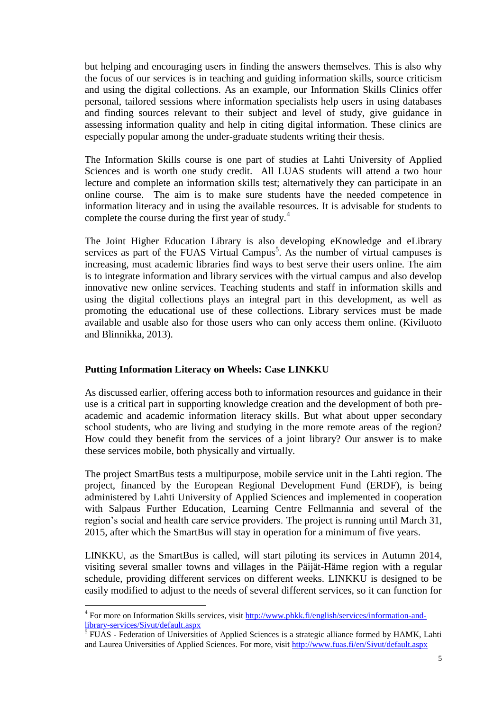but helping and encouraging users in finding the answers themselves. This is also why the focus of our services is in teaching and guiding information skills, source criticism and using the digital collections. As an example, our Information Skills Clinics offer personal, tailored sessions where information specialists help users in using databases and finding sources relevant to their subject and level of study, give guidance in assessing information quality and help in citing digital information. These clinics are especially popular among the under-graduate students writing their thesis.

The Information Skills course is one part of studies at Lahti University of Applied Sciences and is worth one study credit. All LUAS students will attend a two hour lecture and complete an information skills test; alternatively they can participate in an online course. The aim is to make sure students have the needed competence in information literacy and in using the available resources. It is advisable for students to complete the course during the first year of study.<sup>4</sup>

The Joint Higher Education Library is also developing eKnowledge and eLibrary services as part of the FUAS Virtual Campus<sup>5</sup>. As the number of virtual campuses is increasing, must academic libraries find ways to best serve their users online. The aim is to integrate information and library services with the virtual campus and also develop innovative new online services. Teaching students and staff in information skills and using the digital collections plays an integral part in this development, as well as promoting the educational use of these collections. Library services must be made available and usable also for those users who can only access them online. (Kiviluoto and Blinnikka, 2013).

#### **Putting Information Literacy on Wheels: Case LINKKU**

 $\overline{a}$ 

As discussed earlier, offering access both to information resources and guidance in their use is a critical part in supporting knowledge creation and the development of both preacademic and academic information literacy skills. But what about upper secondary school students, who are living and studying in the more remote areas of the region? How could they benefit from the services of a joint library? Our answer is to make these services mobile, both physically and virtually.

The project SmartBus tests a multipurpose, mobile service unit in the Lahti region. The project, financed by the European Regional Development Fund (ERDF), is being administered by Lahti University of Applied Sciences and implemented in cooperation with Salpaus Further Education, Learning Centre Fellmannia and several of the region's social and health care service providers. The project is running until March 31, 2015, after which the SmartBus will stay in operation for a minimum of five years.

LINKKU, as the SmartBus is called, will start piloting its services in Autumn 2014, visiting several smaller towns and villages in the Päijät-Häme region with a regular schedule, providing different services on different weeks. LINKKU is designed to be easily modified to adjust to the needs of several different services, so it can function for

<sup>&</sup>lt;sup>4</sup> For more on Information Skills services, visit [http://www.phkk.fi/english/services/information-and](http://www.phkk.fi/english/services/information-and-library-services/Sivut/default.aspx)[library-services/Sivut/default.aspx](http://www.phkk.fi/english/services/information-and-library-services/Sivut/default.aspx)<br><sup>5</sup> FUAS - Federation of Universities of Applied Sciences is a strategic alliance formed by HAMK, Lahti

and Laurea Universities of Applied Sciences. For more, visit<http://www.fuas.fi/en/Sivut/default.aspx>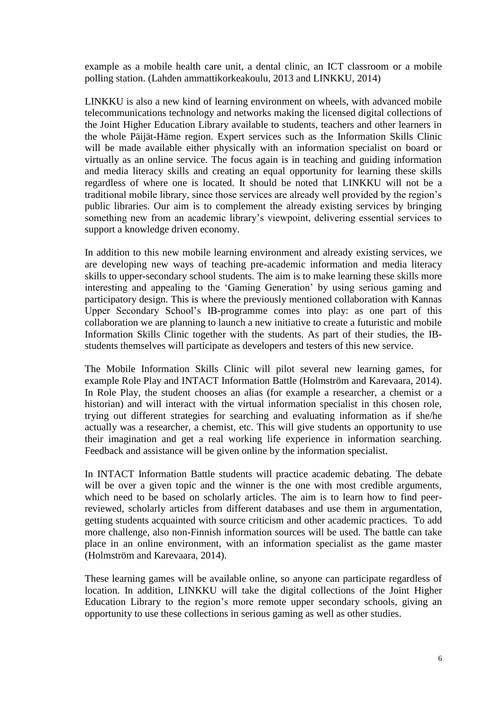example as a mobile health care unit, a dental clinic, an ICT classroom or a mobile polling station. (Lahden ammattikorkeakoulu, 2013 and LINKKU, 2014)

LINKKU is also a new kind of learning environment on wheels, with advanced mobile telecommunications technology and networks making the licensed digital collections of the Joint Higher Education Library available to students, teachers and other learners in the whole Päijät-Häme region. Expert services such as the Information Skills Clinic will be made available either physically with an information specialist on board or virtually as an online service. The focus again is in teaching and guiding information and media literacy skills and creating an equal opportunity for learning these skills regardless of where one is located. It should be noted that LINKKU will not be a traditional mobile library, since those services are already well provided by the region's public libraries. Our aim is to complement the already existing services by bringing something new from an academic library's viewpoint, delivering essential services to support a knowledge driven economy.

In addition to this new mobile learning environment and already existing services, we are developing new ways of teaching pre-academic information and media literacy skills to upper-secondary school students. The aim is to make learning these skills more interesting and appealing to the 'Gaming Generation' by using serious gaming and participatory design. This is where the previously mentioned collaboration with Kannas Upper Secondary School's IB-programme comes into play: as one part of this collaboration we are planning to launch a new initiative to create a futuristic and mobile Information Skills Clinic together with the students. As part of their studies, the IBstudents themselves will participate as developers and testers of this new service.

The Mobile Information Skills Clinic will pilot several new learning games, for example Role Play and INTACT Information Battle (Holmström and Karevaara, 2014). In Role Play, the student chooses an alias (for example a researcher, a chemist or a historian) and will interact with the virtual information specialist in this chosen role, trying out different strategies for searching and evaluating information as if she/he actually was a researcher, a chemist, etc. This will give students an opportunity to use their imagination and get a real working life experience in information searching. Feedback and assistance will be given online by the information specialist.

In INTACT Information Battle students will practice academic debating. The debate will be over a given topic and the winner is the one with most credible arguments, which need to be based on scholarly articles. The aim is to learn how to find peerreviewed, scholarly articles from different databases and use them in argumentation, getting students acquainted with source criticism and other academic practices. To add more challenge, also non-Finnish information sources will be used. The battle can take place in an online environment, with an information specialist as the game master (Holmström and Karevaara, 2014).

These learning games will be available online, so anyone can participate regardless of location. In addition, LINKKU will take the digital collections of the Joint Higher Education Library to the region's more remote upper secondary schools, giving an opportunity to use these collections in serious gaming as well as other studies.